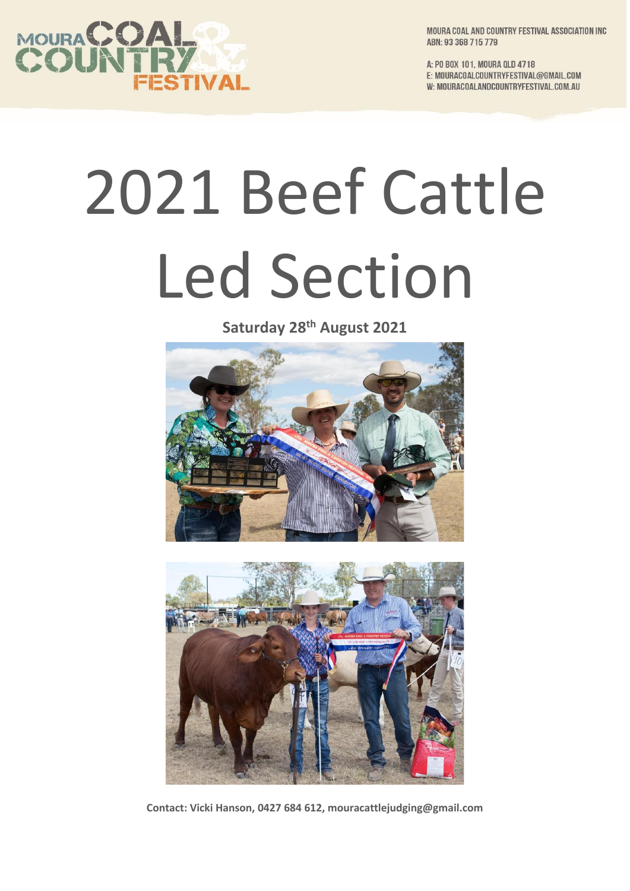

MOURA COAL AND COUNTRY FESTIVAL ASSOCIATION INC ABN: 93 368 715 779

A: PO BOX 101, MOURA QLD 4718 E: MOURACOALCOUNTRYFESTIVAL@GMAIL.COM W: MOURACOALANDCOUNTRYFESTIVAL.COM.AU

## 2021 Beef Cattle Led Section

**Saturday 28 th August 2021**





**Contact: Vicki Hanson, 0427 684 612, mouracattlejudging@gmail.com**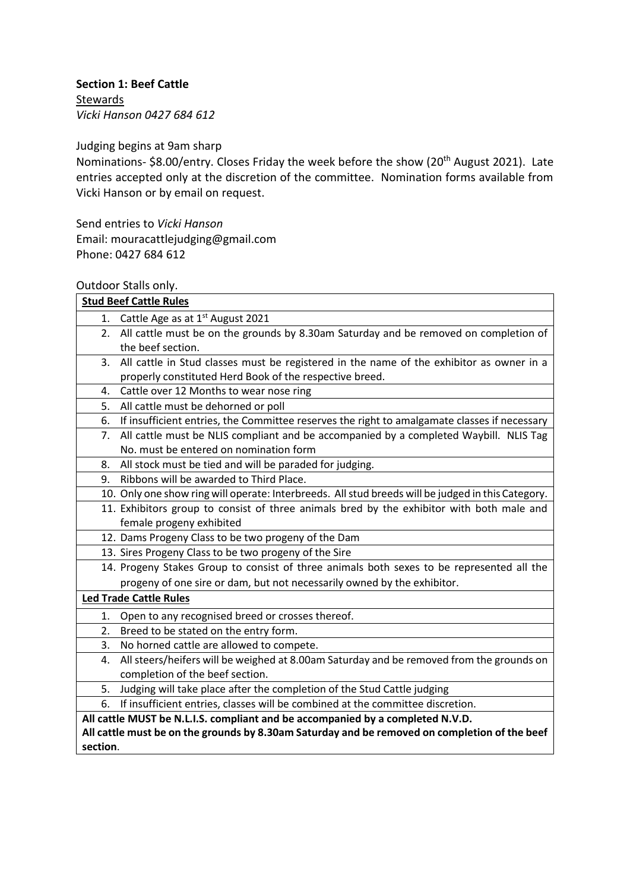## **Section 1: Beef Cattle**

**Stewards** *Vicki Hanson 0427 684 612*

Judging begins at 9am sharp

Nominations- \$8.00/entry. Closes Friday the week before the show (20<sup>th</sup> August 2021). Late entries accepted only at the discretion of the committee. Nomination forms available from Vicki Hanson or by email on request.

Send entries to *Vicki Hanson*

Email: mouracattlejudging@gmail.com Phone: 0427 684 612

## Outdoor Stalls only.

| <b>Stud Beef Cattle Rules</b>                                                                 |                                                                                                    |  |  |  |  |
|-----------------------------------------------------------------------------------------------|----------------------------------------------------------------------------------------------------|--|--|--|--|
| 1.                                                                                            | Cattle Age as at 1 <sup>st</sup> August 2021                                                       |  |  |  |  |
|                                                                                               | 2. All cattle must be on the grounds by 8.30am Saturday and be removed on completion of            |  |  |  |  |
|                                                                                               | the beef section.                                                                                  |  |  |  |  |
| 3.                                                                                            | All cattle in Stud classes must be registered in the name of the exhibitor as owner in a           |  |  |  |  |
|                                                                                               | properly constituted Herd Book of the respective breed.                                            |  |  |  |  |
| 4.                                                                                            | Cattle over 12 Months to wear nose ring                                                            |  |  |  |  |
| 5.                                                                                            | All cattle must be dehorned or poll                                                                |  |  |  |  |
| 6.                                                                                            | If insufficient entries, the Committee reserves the right to amalgamate classes if necessary       |  |  |  |  |
| 7.                                                                                            | All cattle must be NLIS compliant and be accompanied by a completed Waybill. NLIS Tag              |  |  |  |  |
|                                                                                               | No. must be entered on nomination form                                                             |  |  |  |  |
| 8.                                                                                            | All stock must be tied and will be paraded for judging.                                            |  |  |  |  |
| 9.                                                                                            | Ribbons will be awarded to Third Place.                                                            |  |  |  |  |
|                                                                                               | 10. Only one show ring will operate: Interbreeds. All stud breeds will be judged in this Category. |  |  |  |  |
|                                                                                               | 11. Exhibitors group to consist of three animals bred by the exhibitor with both male and          |  |  |  |  |
|                                                                                               | female progeny exhibited                                                                           |  |  |  |  |
|                                                                                               | 12. Dams Progeny Class to be two progeny of the Dam                                                |  |  |  |  |
|                                                                                               | 13. Sires Progeny Class to be two progeny of the Sire                                              |  |  |  |  |
|                                                                                               | 14. Progeny Stakes Group to consist of three animals both sexes to be represented all the          |  |  |  |  |
|                                                                                               | progeny of one sire or dam, but not necessarily owned by the exhibitor.                            |  |  |  |  |
|                                                                                               | <b>Led Trade Cattle Rules</b>                                                                      |  |  |  |  |
| 1.                                                                                            | Open to any recognised breed or crosses thereof.                                                   |  |  |  |  |
| 2.                                                                                            | Breed to be stated on the entry form.                                                              |  |  |  |  |
| 3.                                                                                            | No horned cattle are allowed to compete.                                                           |  |  |  |  |
| 4.                                                                                            | All steers/heifers will be weighed at 8.00am Saturday and be removed from the grounds on           |  |  |  |  |
|                                                                                               | completion of the beef section.                                                                    |  |  |  |  |
| 5.                                                                                            | Judging will take place after the completion of the Stud Cattle judging                            |  |  |  |  |
| 6.                                                                                            | If insufficient entries, classes will be combined at the committee discretion.                     |  |  |  |  |
| All cattle MUST be N.L.I.S. compliant and be accompanied by a completed N.V.D.                |                                                                                                    |  |  |  |  |
| All cattle must be on the grounds by 8.30am Saturday and be removed on completion of the beef |                                                                                                    |  |  |  |  |
| section.                                                                                      |                                                                                                    |  |  |  |  |
|                                                                                               |                                                                                                    |  |  |  |  |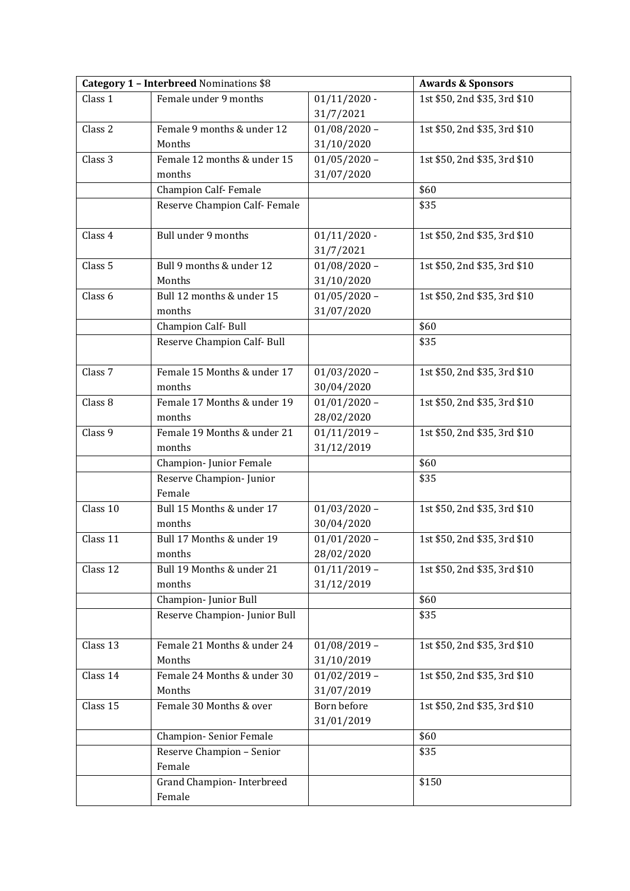| <b>Category 1 - Interbreed Nominations \$8</b> |                               |                | <b>Awards &amp; Sponsors</b> |
|------------------------------------------------|-------------------------------|----------------|------------------------------|
| Class 1                                        | Female under 9 months         | $01/11/2020$ - | 1st \$50, 2nd \$35, 3rd \$10 |
|                                                |                               | 31/7/2021      |                              |
| Class 2                                        | Female 9 months & under 12    | $01/08/2020 -$ | 1st \$50, 2nd \$35, 3rd \$10 |
|                                                | Months                        | 31/10/2020     |                              |
| Class <sub>3</sub>                             | Female 12 months & under 15   | $01/05/2020 -$ | 1st \$50, 2nd \$35, 3rd \$10 |
|                                                | months                        | 31/07/2020     |                              |
|                                                | <b>Champion Calf-Female</b>   |                | \$60                         |
|                                                | Reserve Champion Calf- Female |                | \$35                         |
|                                                |                               |                |                              |
| Class 4                                        | Bull under 9 months           | $01/11/2020$ - | 1st \$50, 2nd \$35, 3rd \$10 |
|                                                |                               | 31/7/2021      |                              |
| Class 5                                        | Bull 9 months & under 12      | $01/08/2020 -$ | 1st \$50, 2nd \$35, 3rd \$10 |
|                                                | Months                        | 31/10/2020     |                              |
| Class 6                                        | Bull 12 months & under 15     | $01/05/2020 -$ | 1st \$50, 2nd \$35, 3rd \$10 |
|                                                | months                        | 31/07/2020     |                              |
|                                                | Champion Calf- Bull           |                | \$60                         |
|                                                | Reserve Champion Calf- Bull   |                | \$35                         |
| Class <sub>7</sub>                             | Female 15 Months & under 17   | $01/03/2020 -$ | 1st \$50, 2nd \$35, 3rd \$10 |
|                                                | months                        | 30/04/2020     |                              |
| Class 8                                        | Female 17 Months & under 19   | $01/01/2020 -$ | 1st \$50, 2nd \$35, 3rd \$10 |
|                                                | months                        | 28/02/2020     |                              |
| Class 9                                        | Female 19 Months & under 21   | $01/11/2019 -$ | 1st \$50, 2nd \$35, 3rd \$10 |
|                                                | months                        | 31/12/2019     |                              |
|                                                | Champion-Junior Female        |                | \$60                         |
|                                                | Reserve Champion- Junior      |                | \$35                         |
|                                                | Female                        |                |                              |
| Class 10                                       | Bull 15 Months & under 17     | $01/03/2020 -$ | 1st \$50, 2nd \$35, 3rd \$10 |
|                                                | months                        | 30/04/2020     |                              |
| Class 11                                       | Bull 17 Months & under 19     | $01/01/2020 -$ | 1st \$50, 2nd \$35, 3rd \$10 |
|                                                | months                        | 28/02/2020     |                              |
| Class 12                                       | Bull 19 Months & under 21     | $01/11/2019 -$ | 1st \$50, 2nd \$35, 3rd \$10 |
|                                                | months                        | 31/12/2019     |                              |
|                                                | Champion- Junior Bull         |                | \$60                         |
|                                                | Reserve Champion- Junior Bull |                | \$35                         |
|                                                |                               |                |                              |
| Class 13                                       | Female 21 Months & under 24   | $01/08/2019 -$ | 1st \$50, 2nd \$35, 3rd \$10 |
|                                                | Months                        | 31/10/2019     |                              |
| Class 14                                       | Female 24 Months & under 30   | $01/02/2019 -$ | 1st \$50, 2nd \$35, 3rd \$10 |
|                                                | Months                        | 31/07/2019     |                              |
| Class 15                                       | Female 30 Months & over       | Born before    | 1st \$50, 2nd \$35, 3rd \$10 |
|                                                |                               | 31/01/2019     |                              |
|                                                | <b>Champion-Senior Female</b> |                | \$60                         |
|                                                | Reserve Champion - Senior     |                | \$35                         |
|                                                | Female                        |                |                              |
|                                                | Grand Champion-Interbreed     |                | \$150                        |
|                                                | Female                        |                |                              |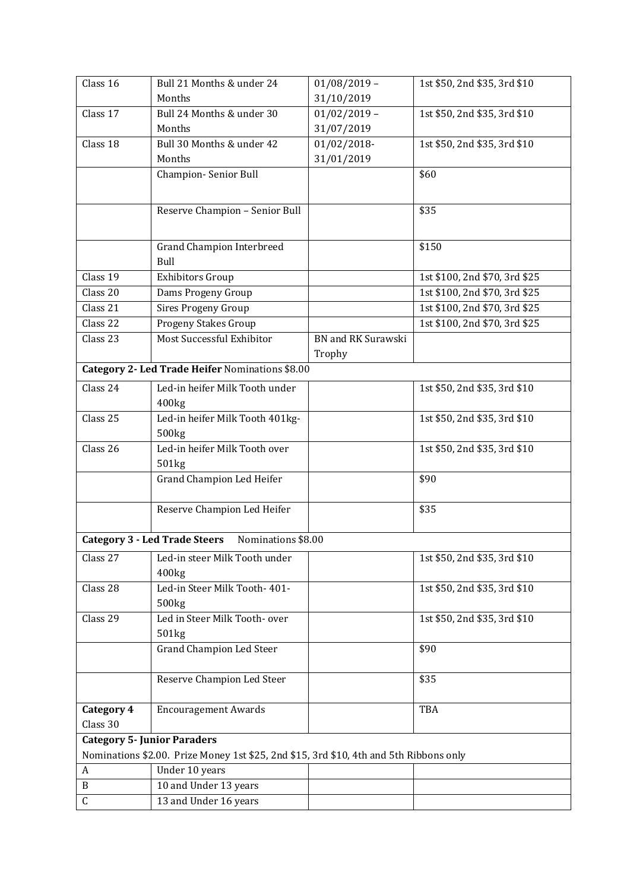| Class 16                                                                               | Bull 21 Months & under 24                                  | $01/08/2019 -$            | 1st \$50, 2nd \$35, 3rd \$10  |  |  |  |
|----------------------------------------------------------------------------------------|------------------------------------------------------------|---------------------------|-------------------------------|--|--|--|
|                                                                                        | Months                                                     | 31/10/2019                |                               |  |  |  |
| Class 17                                                                               | Bull 24 Months & under 30                                  | $01/02/2019 -$            | 1st \$50, 2nd \$35, 3rd \$10  |  |  |  |
|                                                                                        | Months                                                     | 31/07/2019                |                               |  |  |  |
| Class 18                                                                               | Bull 30 Months & under 42                                  | 01/02/2018-               | 1st \$50, 2nd \$35, 3rd \$10  |  |  |  |
|                                                                                        | Months                                                     | 31/01/2019                |                               |  |  |  |
|                                                                                        | Champion-Senior Bull                                       |                           | \$60                          |  |  |  |
|                                                                                        |                                                            |                           |                               |  |  |  |
|                                                                                        | Reserve Champion - Senior Bull                             |                           | \$35                          |  |  |  |
|                                                                                        |                                                            |                           |                               |  |  |  |
|                                                                                        | <b>Grand Champion Interbreed</b>                           |                           | \$150                         |  |  |  |
|                                                                                        | Bull                                                       |                           |                               |  |  |  |
| Class 19                                                                               | <b>Exhibitors Group</b>                                    |                           | 1st \$100, 2nd \$70, 3rd \$25 |  |  |  |
| Class 20                                                                               | Dams Progeny Group                                         |                           | 1st \$100, 2nd \$70, 3rd \$25 |  |  |  |
| Class 21                                                                               | <b>Sires Progeny Group</b>                                 |                           | 1st \$100, 2nd \$70, 3rd \$25 |  |  |  |
| Class 22                                                                               | Progeny Stakes Group                                       |                           | 1st \$100, 2nd \$70, 3rd \$25 |  |  |  |
| Class 23                                                                               | Most Successful Exhibitor                                  | <b>BN</b> and RK Surawski |                               |  |  |  |
|                                                                                        |                                                            | Trophy                    |                               |  |  |  |
|                                                                                        | Category 2- Led Trade Heifer Nominations \$8.00            |                           |                               |  |  |  |
| Class 24                                                                               | Led-in heifer Milk Tooth under                             |                           | 1st \$50, 2nd \$35, 3rd \$10  |  |  |  |
|                                                                                        | 400kg                                                      |                           |                               |  |  |  |
| Class 25                                                                               | Led-in heifer Milk Tooth 401kg-                            |                           | 1st \$50, 2nd \$35, 3rd \$10  |  |  |  |
|                                                                                        | 500 <sub>kg</sub>                                          |                           |                               |  |  |  |
| Class 26                                                                               | Led-in heifer Milk Tooth over                              |                           | 1st \$50, 2nd \$35, 3rd \$10  |  |  |  |
|                                                                                        | 501kg                                                      |                           |                               |  |  |  |
|                                                                                        | <b>Grand Champion Led Heifer</b>                           |                           | \$90                          |  |  |  |
|                                                                                        |                                                            |                           |                               |  |  |  |
|                                                                                        | Reserve Champion Led Heifer                                |                           | \$35                          |  |  |  |
|                                                                                        | <b>Category 3 - Led Trade Steers</b><br>Nominations \$8.00 |                           |                               |  |  |  |
| Class 27                                                                               | Led-in steer Milk Tooth under                              |                           | 1st \$50, 2nd \$35, 3rd \$10  |  |  |  |
|                                                                                        | 400kg                                                      |                           |                               |  |  |  |
| Class 28                                                                               | Led-in Steer Milk Tooth- 401-                              |                           | 1st \$50, 2nd \$35, 3rd \$10  |  |  |  |
|                                                                                        | 500 <sub>kg</sub>                                          |                           |                               |  |  |  |
| Class 29                                                                               | Led in Steer Milk Tooth- over                              |                           | 1st \$50, 2nd \$35, 3rd \$10  |  |  |  |
|                                                                                        | 501kg                                                      |                           |                               |  |  |  |
|                                                                                        | <b>Grand Champion Led Steer</b>                            |                           | \$90                          |  |  |  |
|                                                                                        | Reserve Champion Led Steer                                 |                           | \$35                          |  |  |  |
|                                                                                        |                                                            |                           |                               |  |  |  |
| Category 4                                                                             | <b>Encouragement Awards</b>                                |                           | TBA                           |  |  |  |
| Class 30                                                                               |                                                            |                           |                               |  |  |  |
|                                                                                        | <b>Category 5- Junior Paraders</b>                         |                           |                               |  |  |  |
| Nominations \$2.00. Prize Money 1st \$25, 2nd \$15, 3rd \$10, 4th and 5th Ribbons only |                                                            |                           |                               |  |  |  |
| A                                                                                      | Under 10 years                                             |                           |                               |  |  |  |
| B                                                                                      | 10 and Under 13 years                                      |                           |                               |  |  |  |
| $\mathsf C$                                                                            | 13 and Under 16 years                                      |                           |                               |  |  |  |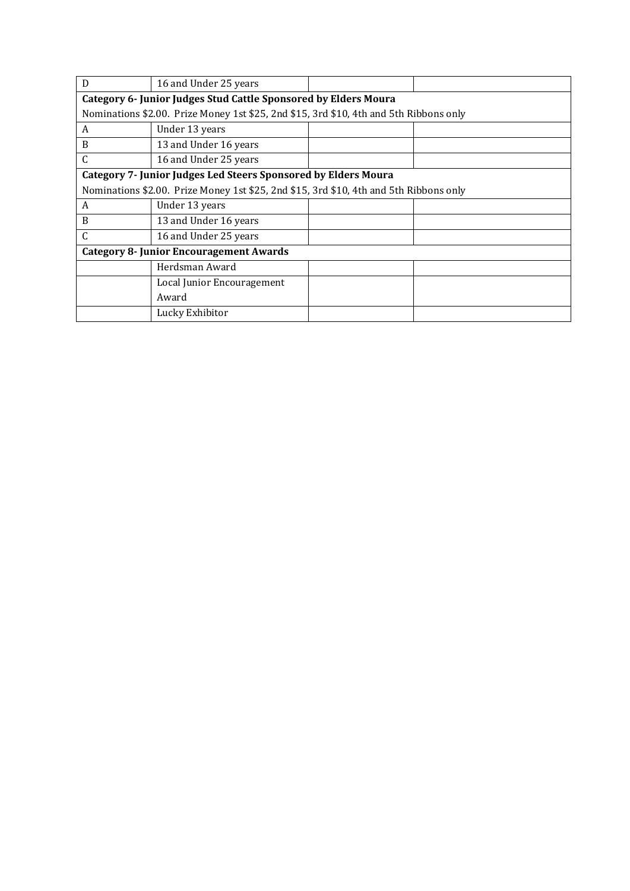| D                                                                                      | 16 and Under 25 years      |  |  |  |  |  |  |
|----------------------------------------------------------------------------------------|----------------------------|--|--|--|--|--|--|
| Category 6- Junior Judges Stud Cattle Sponsored by Elders Moura                        |                            |  |  |  |  |  |  |
| Nominations \$2.00. Prize Money 1st \$25, 2nd \$15, 3rd \$10, 4th and 5th Ribbons only |                            |  |  |  |  |  |  |
| A                                                                                      | Under 13 years             |  |  |  |  |  |  |
| B                                                                                      | 13 and Under 16 years      |  |  |  |  |  |  |
| C                                                                                      | 16 and Under 25 years      |  |  |  |  |  |  |
| <b>Category 7- Junior Judges Led Steers Sponsored by Elders Moura</b>                  |                            |  |  |  |  |  |  |
| Nominations \$2.00. Prize Money 1st \$25, 2nd \$15, 3rd \$10, 4th and 5th Ribbons only |                            |  |  |  |  |  |  |
| A                                                                                      | Under 13 years             |  |  |  |  |  |  |
| B                                                                                      | 13 and Under 16 years      |  |  |  |  |  |  |
| $\mathsf{C}$                                                                           | 16 and Under 25 years      |  |  |  |  |  |  |
| <b>Category 8- Junior Encouragement Awards</b>                                         |                            |  |  |  |  |  |  |
|                                                                                        | Herdsman Award             |  |  |  |  |  |  |
|                                                                                        | Local Junior Encouragement |  |  |  |  |  |  |
|                                                                                        | Award                      |  |  |  |  |  |  |
|                                                                                        | Lucky Exhibitor            |  |  |  |  |  |  |